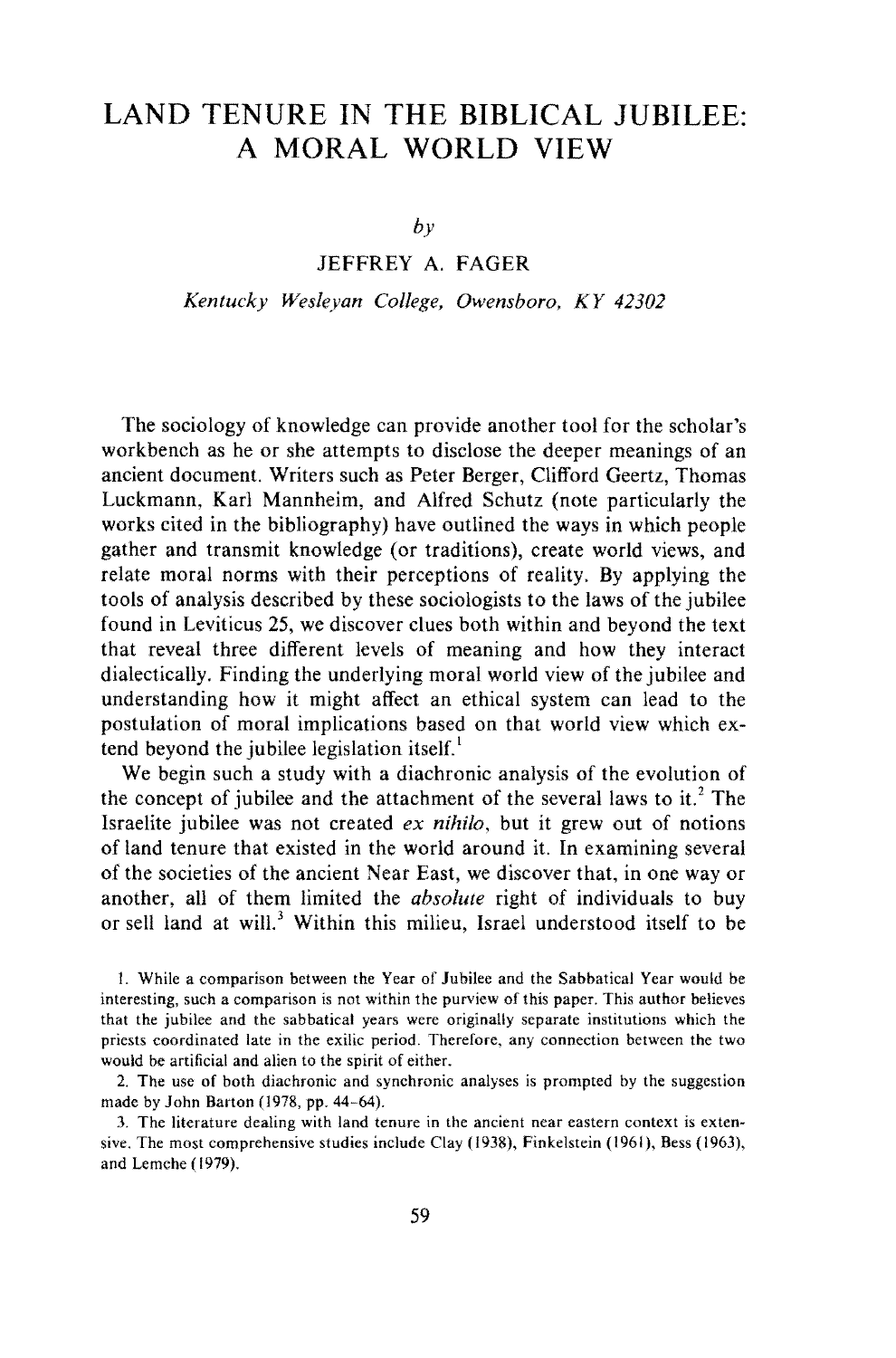## **LAND TENURE IN THE BIBLICAL JUBILEE: A MORAL WORLD VIEW**

*by* 

## JEFFREY A. FAGER

*Kentucky Wesleyan College, Owensboro, KY 42302* 

The sociology of knowledge can provide another tool for the scholar's workbench as he or she attempts to disclose the deeper meanings of an ancient document. Writers such as Peter Berger, Clifford Geertz, Thomas Luckmann, Karl Mannheim, and Alfred Schutz (note particularly the works cited in the bibliography} have outlined the ways in which people gather and transmit knowledge (or traditions), create world views, and relate moral norms with their perceptions of reality. By applying the tools of analysis described by these sociologists to the laws of the jubilee found in Leviticus 25, we discover clues both within and beyond the text that reveal three different levels of meaning and how they interact dialectically. Finding the underlying moral world view of the jubilee and understanding how it might affect an ethical system can lead to the postulation of moral implications based on that world view which extend beyond the jubilee legislation itself. $<sup>1</sup>$ </sup>

We begin such a study with a diachronic analysis of the evolution of the concept of jubilee and the attachment of the several laws to it.<sup>2</sup> The Israelite jubilee was not created *ex nihilo,* but it grew out of notions of land tenure that existed in the world around it. In examining several of the societies of the ancient Near East, we discover that, in one way or another, all of them limited the *absolute* right of individuals to buy or sell land at will.<sup>3</sup> Within this milieu, Israel understood itself to be

I. While a comparison between the Year of Jubilee and the Sabbatical Year would be interesting, such a comparison is not within the purview of this paper. This author believes that the jubilee and the sabbatical years were originally separate institutions which the priests coordinated late in the exilic period. Therefore, any connection between the two would be artificial and alien to the spirit of either.

2. The use of both diachronic and synchronic analyses is prompted by the suggestion made by John Barton (1978, pp. 44-64).

3. The literature dealing with land tenure in the ancient near eastern context is extensive. The most comprehensive studies include Clay (1938), Finkelstein (1961), Bess (1963), and Lernche ( 1979).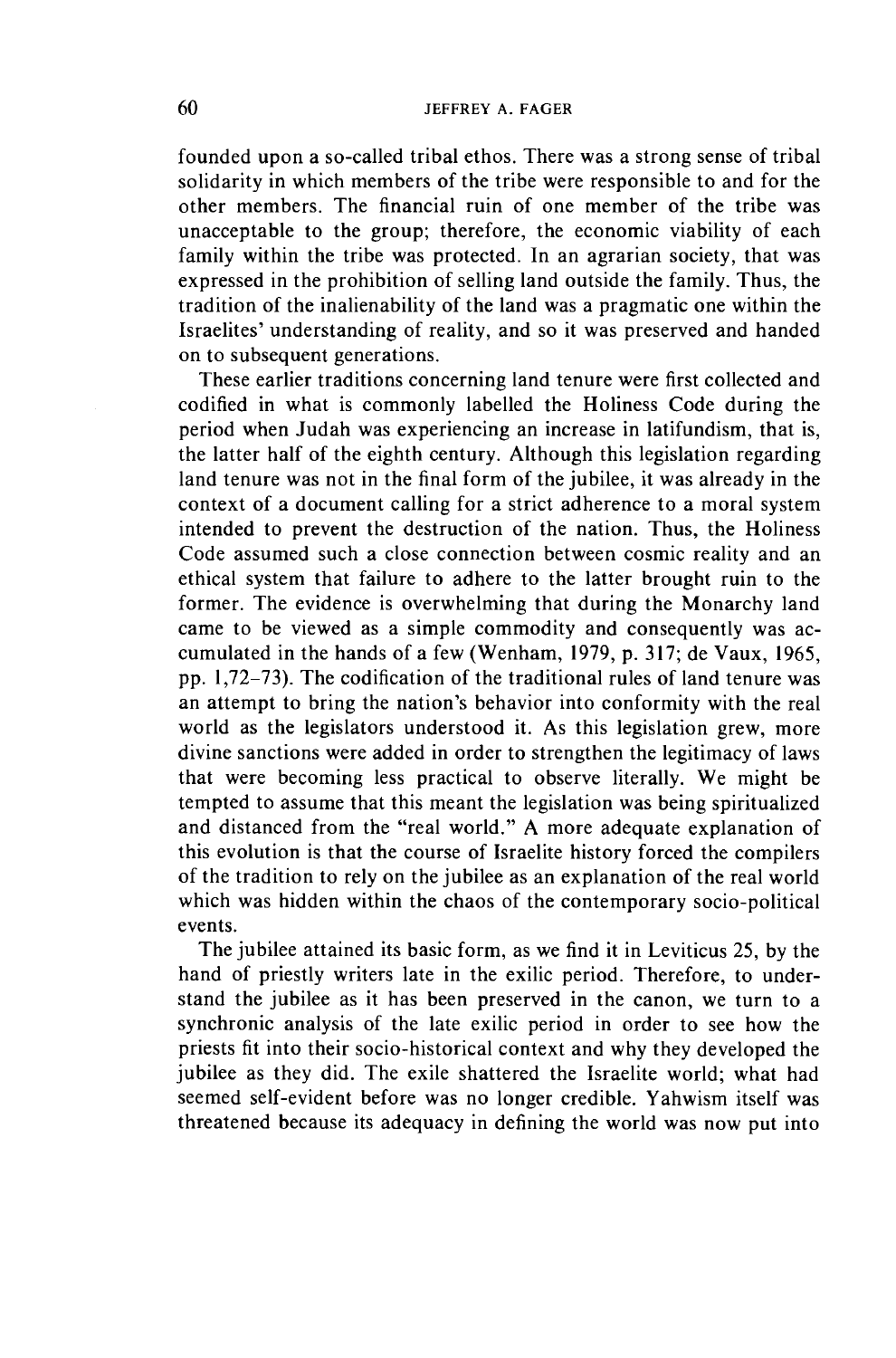founded upon a so-called tribal ethos. There was a strong sense of tribal solidarity in which members of the tribe were responsible to and for the other members. The financial ruin of one member of the tribe was unacceptable to the group; therefore, the economic viability of each family within the tribe was protected. In an agrarian society, that was expressed in the prohibition of selling land outside the family. Thus, the tradition of the inalienability of the land was a pragmatic one within the Israelites' understanding of reality, and so it was preserved and handed on to subsequent generations.

These earlier traditions concerning land tenure were first collected and codified in what is commonly labelled the Holiness Code during the period when Judah was experiencing an increase in latifundism, that is, the latter half of the eighth century. Although this legislation regarding land tenure was not in the final form of the jubilee, it was already in the context of a document calling for a strict adherence to a moral system intended to prevent the destruction of the nation. Thus, the Holiness Code assumed such a close connection between cosmic reality and an ethical system that failure to adhere to the latter brought ruin to the former. The evidence is overwhelming that during the Monarchy land came to be viewed as a simple commodity and consequently was accumulated in the hands of a few (Wenham, 1979, p. 317; de Vaux, 1965, pp. 1, 72-73). The codification of the traditional rules of land tenure was an attempt to bring the nation's behavior into conformity with the real world as the legislators understood it. As this legislation grew, more divine sanctions were added in order to strengthen the legitimacy of laws that were becoming less practical to observe literally. We might be tempted to assume that this meant the legislation was being spiritualized and distanced from the "real world." A more adequate explanation of this evolution is that the course of Israelite history forced the compilers of the tradition to rely on the jubilee as an explanation of the real world which was hidden within the chaos of the contemporary socio-political events.

The jubilee attained its basic form, as we find it in Leviticus 25, by the hand of priestly writers late in the exilic period. Therefore, to understand the jubilee as it has been preserved in the canon, we turn to a synchronic analysis of the late exilic period in order to see how the priests fit into their socio-historical context and why they developed the jubilee as they did. The exile shattered the Israelite world; what had seemed self-evident before was no longer credible. Y ahwism itself was threatened because its adequacy in defining the world was now put into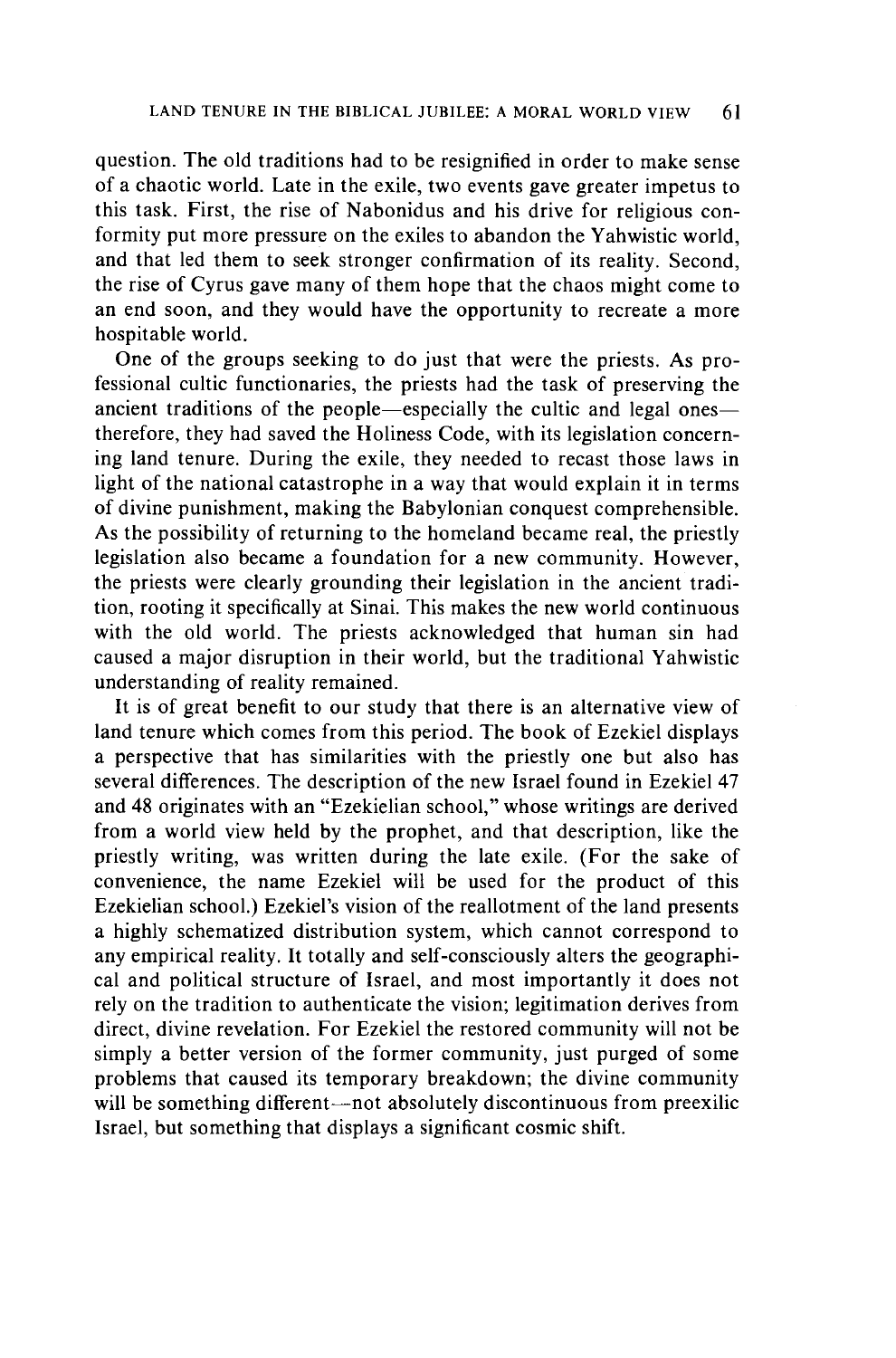question. The old traditions had to be resignified in order to make sense of a chaotic world. Late in the exile, two events gave greater impetus to this task. First, the rise of Nabonidus and his drive for religious conformity put more pressure on the exiles to abandon the Y ahwistic world, and that led them to seek stronger confirmation of its reality. Second, the rise of Cyrus gave many of them hope that the chaos might come to an end soon, and they would have the opportunity to recreate a more hospitable world.

One of the groups seeking to do just that were the priests. As professional cultic functionaries, the priests had the task of preserving the ancient traditions of the people-especially the cultic and legal onestherefore, they had saved the Holiness Code, with its legislation concerning land tenure. During the exile, they needed to recast those laws in light of the national catastrophe in a way that would explain it in terms of divine punishment, making the Babylonian conquest comprehensible. As the possibility of returning to the homeland became real, the priestly legislation also became a foundation for a new community. However, the priests were clearly grounding their legislation in the ancient tradition, rooting it specifically at Sinai. This makes the new world continuous with the old world. The priests acknowledged that human sin had caused a major disruption in their world, but the traditional Yahwistic understanding of reality remained.

It is of great benefit to our study that there is an alternative view of land tenure which comes from this period. The book of Ezekiel displays a perspective that has similarities with the priestly one but also has several differences. The description of the new Israel found in Ezekiel 47 and 48 originates with an "Ezekielian school," whose writings are derived from a world view held by the prophet, and that description, like the priestly writing, was written during the late exile. (For the sake of convenience, the name Ezekiel will be used for the product of this Ezekielian school.) Ezekiel's vision of the reallotment of the land presents a highly schematized distribution system, which cannot correspond to any empirical reality. It totally and self-consciously alters the geographical and political structure of Israel, and most importantly it does not rely on the tradition to authenticate the vision; legitimation derives from direct, divine revelation. For Ezekiel the restored community will not be simply a better version of the former community, just purged of some problems that caused its temporary breakdown; the divine community will be something different—not absolutely discontinuous from preexilic Israel, but something that displays a significant cosmic shift.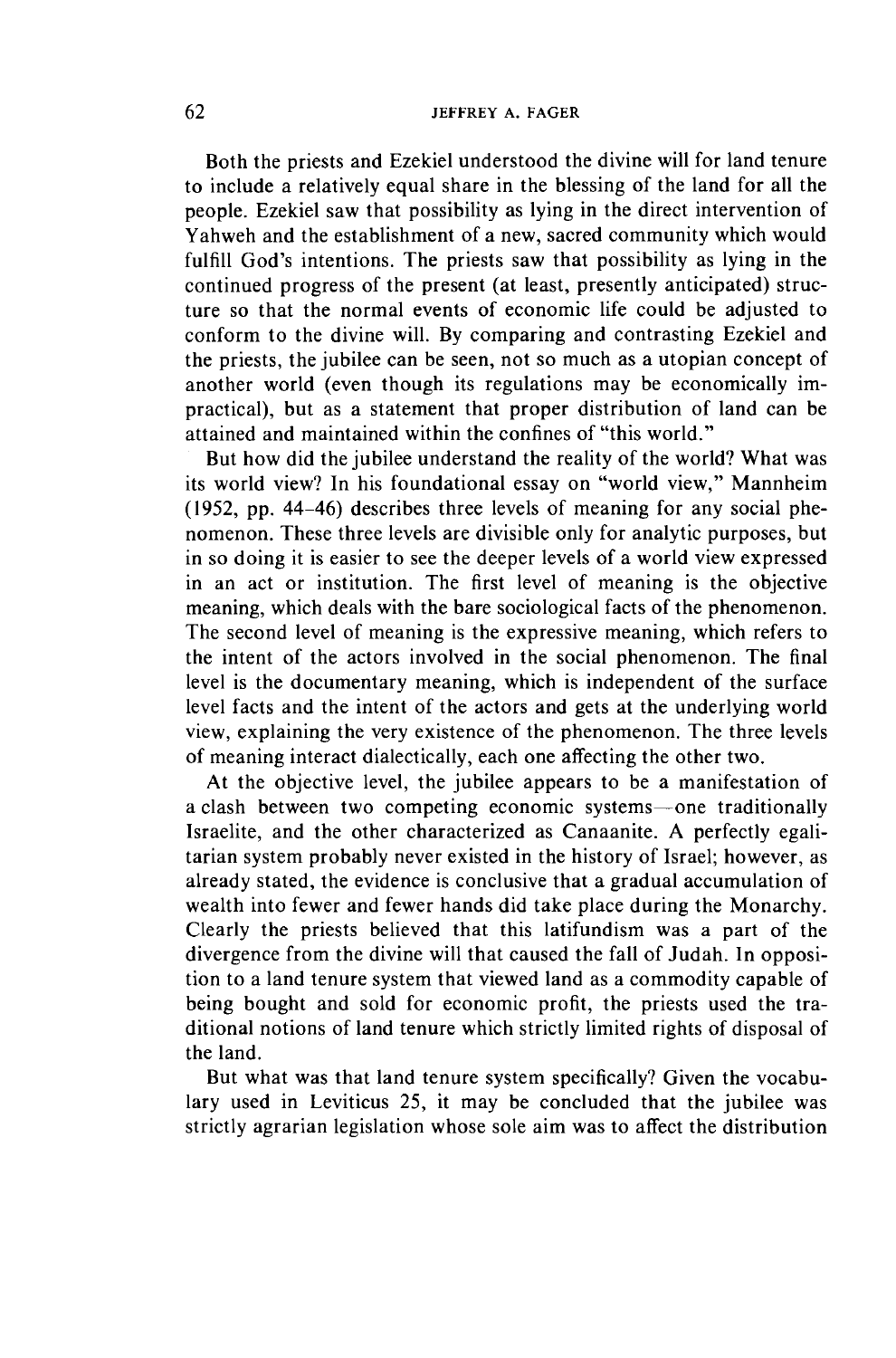## 62 JEFFREY A. FAGER

Both the priests and Ezekiel understood the divine will for land tenure to include a relatively equal share in the blessing of the land for all the people. Ezekiel saw that possibility as lying in the direct intervention of Yahweh and the establishment of a new, sacred community which would fulfill God's intentions. The priests saw that possibility as lying in the continued progress of the present (at least, presently anticipated) structure so that the normal events of economic life could be adjusted to conform to the divine will. By comparing and contrasting Ezekiel and the priests, the jubilee can be seen, not so much as a utopian concept of another world (even though its regulations may be economically impractical), but as a statement that proper distribution of land can be attained and maintained within the confines of "this world."

But how did the jubilee understand the reality of the world? What was its world view? In his foundational essay on "world view," Mannheim (1952, pp. 44-46) describes three levels of meaning for any social phenomenon. These three levels are divisible only for analytic purposes, but in so doing it is easier to see the deeper levels of a world view expressed in an act or institution. The first level of meaning is the objective meaning, which deals with the bare sociological facts of the phenomenon. The second level of meaning is the expressive meaning, which refers to the intent of the actors involved in the social phenomenon. The final level is the documentary meaning, which is independent of the surface level facts and the intent of the actors and gets at the underlying world view, explaining the very existence of the phenomenon. The three levels of meaning interact dialectically, each one affecting the other two.

At the objective level, the jubilee appears to be a manifestation of a clash between two competing economic systems-one traditionally Israelite, and the other characterized as Canaanite. A perfectly egalitarian system probably never existed in the history of Israel; however, as already stated, the evidence is conclusive that a gradual accumulation of wealth into fewer and fewer hands did take place during the Monarchy. Clearly the priests believed that this latifundism was a part of the divergence from the divine will that caused the fall of Judah. In opposition to a land tenure system that viewed land as a commodity capable of being bought and sold for economic profit, the priests used the traditional notions of land tenure which strictly limited rights of disposal of the land.

But what was that land tenure system specifically? Given the vocabulary used in Leviticus 25, it may be concluded that the jubilee was strictly agrarian legislation whose sole aim was to affect the distribution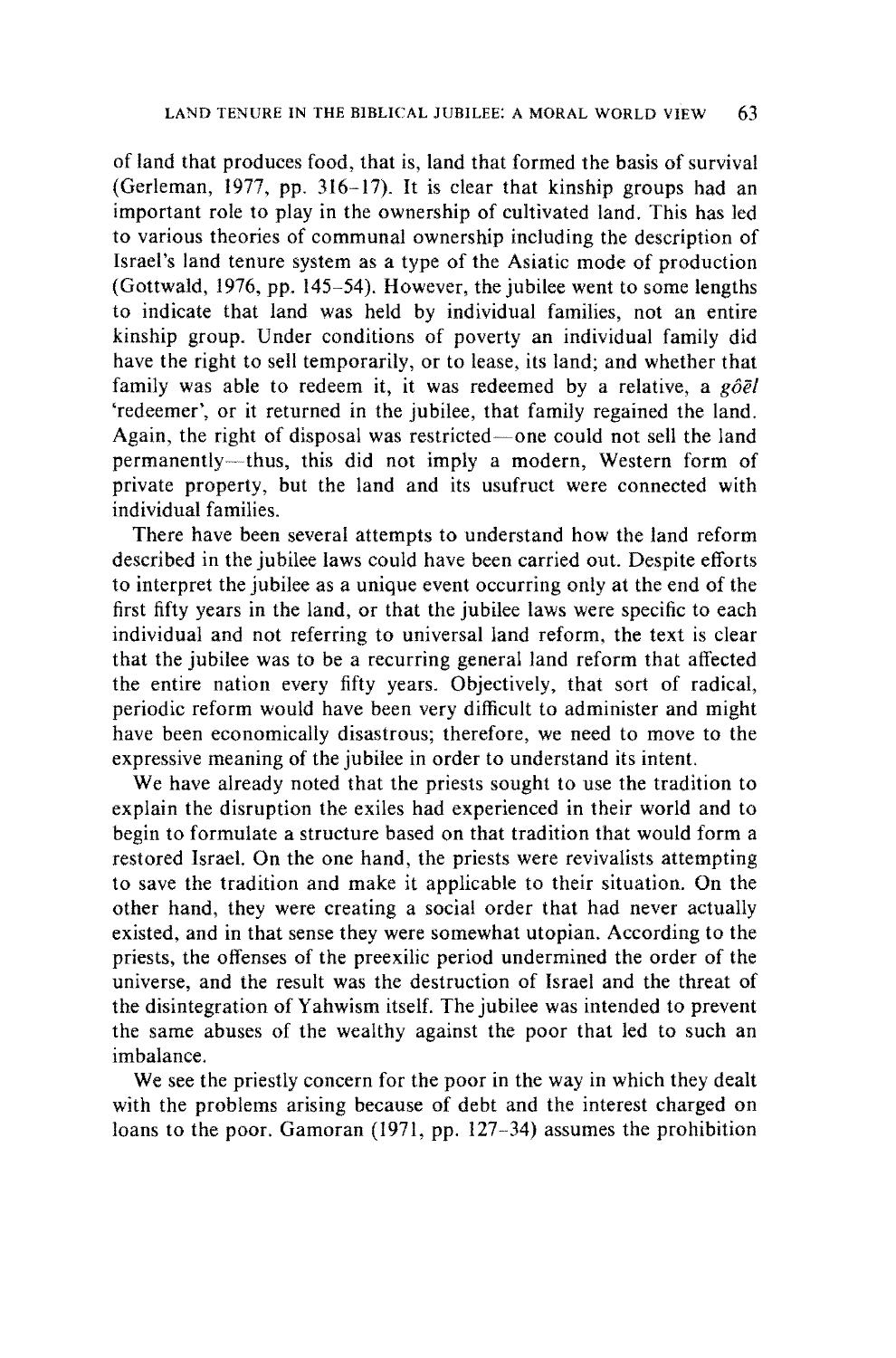of land that produces food, that is, land that formed the basis of survival (Gerleman, 1977, pp. 316-17). It is clear that kinship groups had an important role to play in the ownership of cultivated land. This has led to various theories of communal ownership including the description of Israel's land tenure system as a type of the Asiatic mode of production (Gottwald, 1976, pp. 145-54). However, the jubilee went to some lengths to indicate that land was held by individual families, not an entire kinship group. Under conditions of poverty an individual family did have the right to sell temporarily, or to lease, its land; and whether that family was able to redeem it, it was redeemed by a relative, a  $g\partial \bar{e}l$ 'redeemer', or it returned in the jubilee, that family regained the land. Again, the right of disposal was restricted-one could not sell the land permanently-thus, this did not imply a modern, Western form of private property, but the land and its usufruct were connected with individual families.

There have been several attempts to understand how the land reform described in the jubilee laws could have been carried out. Despite efforts to interpret the jubilee as a unique event occurring only at the end of the first fifty years in the land, or that the jubilee laws were specific to each individual and not referring to universal land reform, the text is clear that the jubilee was to be a recurring general land reform that affected the entire nation every fifty years. Objectively, that sort of radical, periodic reform would have been very difficult to administer and might have been economically disastrous; therefore, we need to move to the expressive meaning of the jubilee in order to understand its intent.

We have already noted that the priests sought to use the tradition to explain the disruption the exiles had experienced in their world and to begin to formulate a structure based on that tradition that would form a restored Israel. On the one hand, the priests were revivalists attempting to save the tradition and make it applicable to their situation. On the other hand, they were creating a social order that had never actually existed, and in that sense they were somewhat utopian. According to the priests, the offenses of the preexilic period undermined the order of the universe, and the result was the destruction of Israel and the threat of the disintegration of Yahwism itself. The jubilee was intended to prevent the same abuses of the wealthy against the poor that led to such an imbalance.

We see the priestly concern for the poor in the way in which they dealt with the problems arising because of debt and the interest charged on loans to the poor. Gamoran (1971, pp. 127-34) assumes the prohibition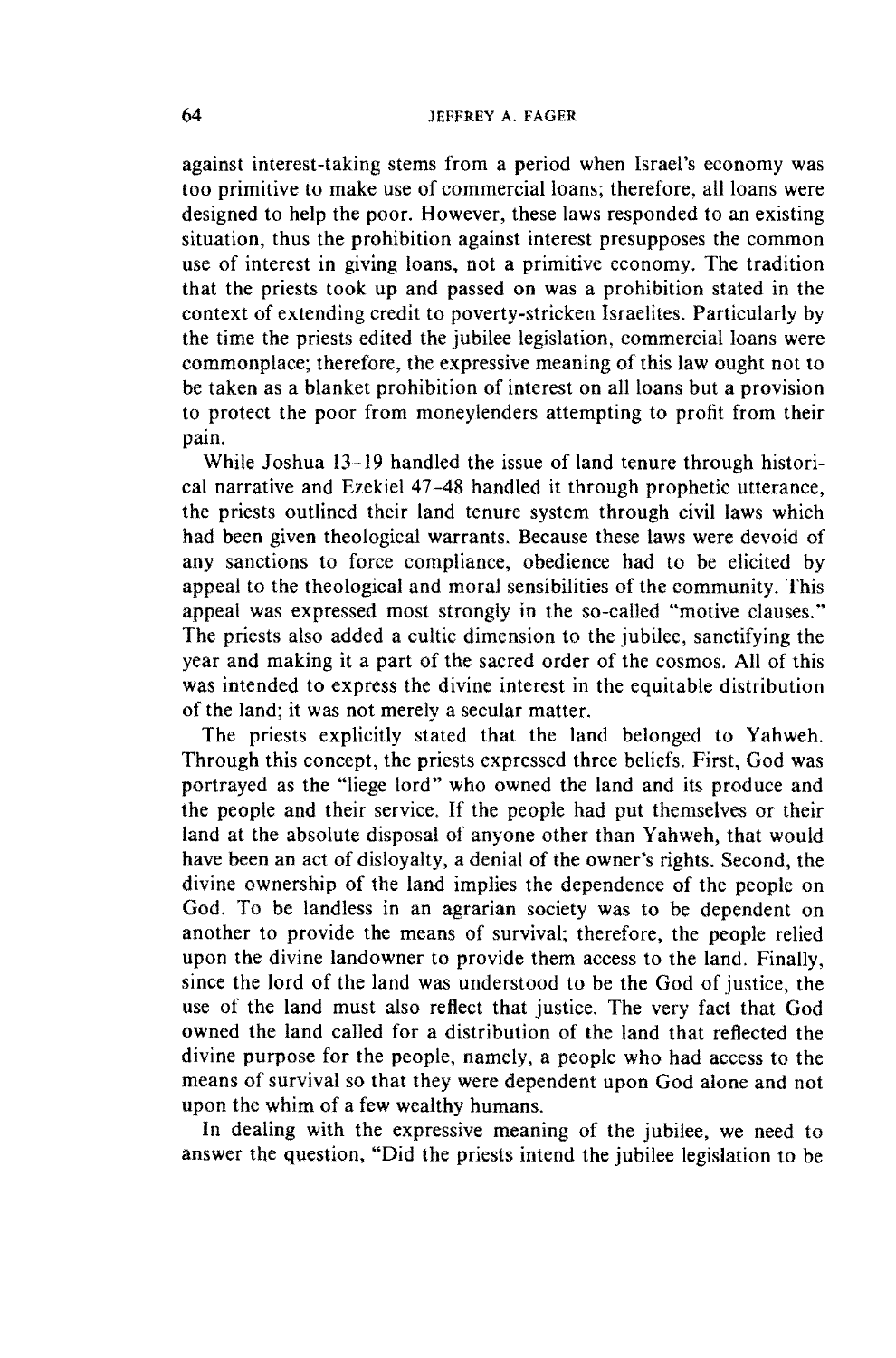against interest-taking stems from a period when Israel's economy was too primitive to make use of commercial loans; therefore, all loans were designed to help the poor. However, these laws responded to an existing situation, thus the prohibition against interest presupposes the common use of interest in giving loans, not a primitive economy. The tradition that the priests took up and passed on was a prohibition stated in the context of extending credit to poverty-stricken Israelites. Particularly by the time the priests edited the jubilee legislation, commercial loans were commonplace; therefore, the expressive meaning of this law ought not to be taken as a blanket prohibition of interest on all loans but a provision to protect the poor from moneylenders attempting to profit from their pain.

While Joshua 13-19 handled the issue of land tenure through historical narrative and Ezekiel 47-48 handled it through prophetic utterance, the priests outlined their land tenure system through civil laws which had been given theological warrants. Because these laws were devoid of any sanctions to force compliance, obedience had to be elicited by appeal to the theological and moral sensibilities of the community. This appeal was expressed most strongly in the so-called "motive clauses." The priests also added a cultic dimension to the jubilee, sanctifying the year and making it a part of the sacred order of the cosmos. All of this was intended to express the divine interest in the equitable distribution of the land; it was not merely a secular matter.

The priests explicitly stated that the land belonged to Yahweh. Through this concept, the priests expressed three beliefs. First, God was portrayed as the "liege lord" who owned the land and its produce and the people and their service. If the people had put themselves or their land at the absolute disposal of anyone other than Yahweh, that would have been an act of disloyalty, a denial of the owner's rights. Second, the divine ownership of the land implies the dependence of the people on God. To be landless in an agrarian society was to be dependent on another to provide the means of survival; therefore, the people relied upon the divine landowner to provide them access to the land. Finally, since the lord of the land was understood to be the God of justice, the use of the land must also reflect that justice. The very fact that God owned the land called for a distribution of the land that reflected the divine purpose for the people, namely, a people who had access to the means of survival so that they were dependent upon God alone and not upon the whim of a few wealthy humans.

In dealing with the expressive meaning of the jubilee, we need to answer the question, "Did the priests intend the jubilee legislation to be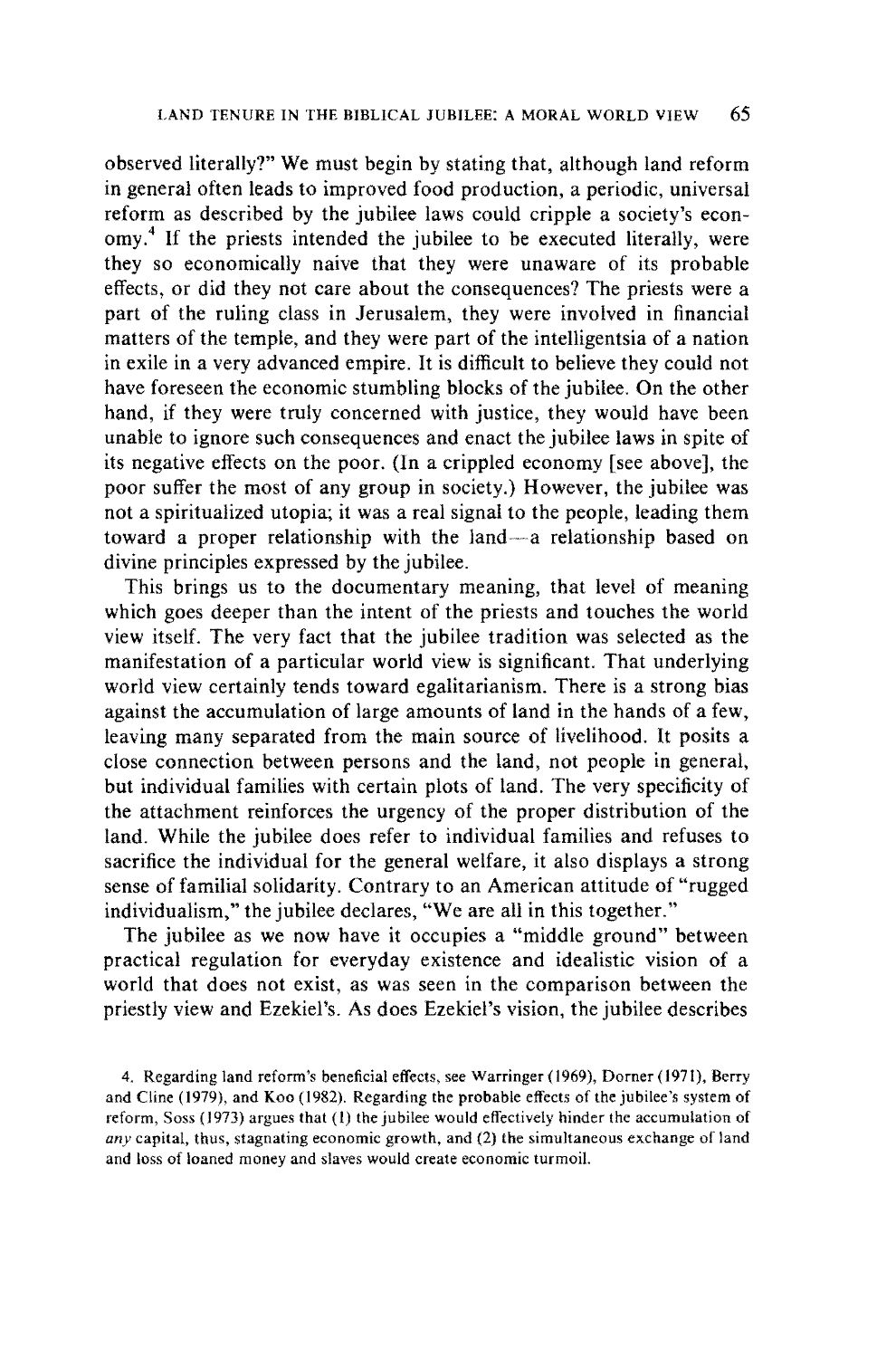observed literally?" We must begin by stating that, although land reform in general often leads to improved food production, a periodic, universal reform as described by the jubilee laws could cripple a society's economy.<sup>4</sup> If the priests intended the jubilee to be executed literally, were they so economically naive that they were unaware of its probable effects, or did they not care about the consequences? The priests were a part of the ruling class in Jerusalem, they were involved in financial matters of the temple, and they were part of the intelligentsia of a nation in exile in a very advanced empire. It is difficult to believe they could not have foreseen the economic stumbling blocks of the jubilee. On the other hand, if they were truly concerned with justice, they would have been unable to ignore such consequences and enact the jubilee laws in spite of its negative effects on the poor. (In a crippled economy [see above], the poor suffer the most of any group in society.) However, the jubilee was not a spiritualized utopia; it was a real signal to the people, leading them toward a proper relationship with the land~a relationship based on divine principles expressed by the jubilee.

This brings us to the documentary meaning, that level of meaning which goes deeper than the intent of the priests and touches the world view itself. The very fact that the jubilee tradition was selected as the manifestation of a particular world view is significant. That underlying world view certainly tends toward egalitarianism. There is a strong bias against the accumulation of large amounts of land in the hands of a few, leaving many separated from the main source of livelihood. It posits a close connection between persons and the land, not people in general, but individual families with certain plots of land. The very specificity of the attachment reinforces the urgency of the proper distribution of the land. While the jubilee does refer to individual families and refuses to sacrifice the individual for the general welfare, it also displays a strong sense of familial solidarity. Contrary to an American attitude of "rugged individualism," the jubilee declares, "We are all in this together."

The jubilee as we now have it occupies a "middle ground" between practical regulation for everyday existence and idealistic vision of a world that does not exist, as was seen in the comparison between the priestly view and Ezekiel's. As does Ezekiel's vision, the jubilee describes

<sup>4.</sup> Regarding land reform's beneficial effects, see Warringer (1969), Domer (1971), Berry and Cline (1979), and Koo (1982). Regarding the probable effects of the jubilee's system of reform, Soss (1973) argues that (I) the jubilee would effectively hinder the accumulation of any capital, thus, stagnating economic growth, and  $(2)$  the simultaneous exchange of land and loss of loaned money and slaves would create economic turmoil.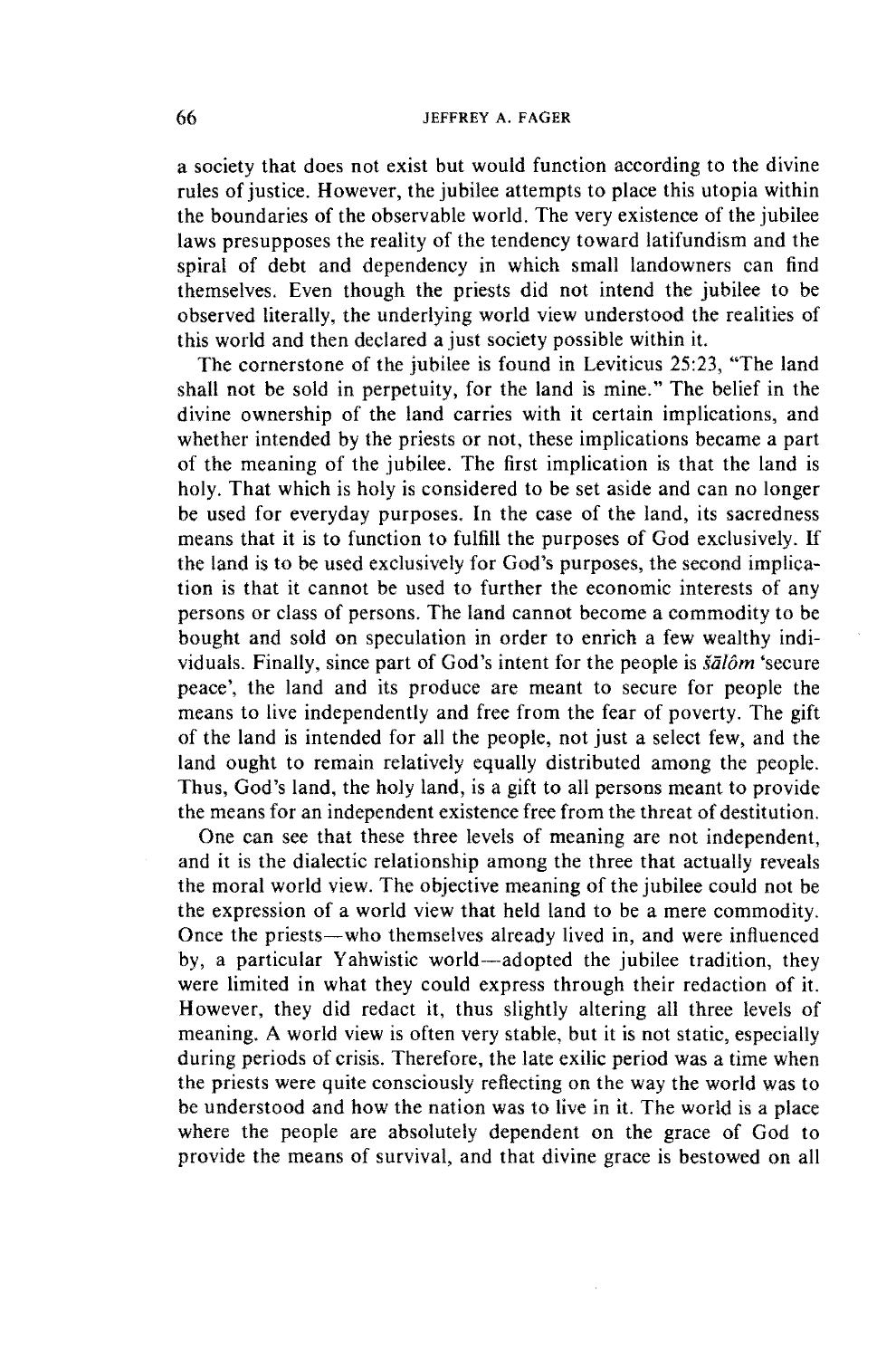a society that does not exist but would function according to the divine rules of justice. However, the jubilee attempts to place this utopia within the boundaries of the observable world. The very existence of the jubilee laws presupposes the reality of the tendency toward latifundism and the spiral of debt and dependency in which small landowners can find themselves. Even though the priests did not intend the jubilee to be observed literally, the underlying world view understood the realities of this world and then declared a just society possible within it.

The cornerstone of the jubilee is found in Leviticus 25:23, "The land shall not be sold in perpetuity, for the land is mine." The belief in the divine ownership of the land carries with it certain implications, and whether intended by the priests or not, these implications became a part of the meaning of the jubilee. The first implication is that the land is holy. That which is holy is considered to be set aside and can no longer be used for everyday purposes. In the case of the land, its sacredness means that it is to function to fulfill the purposes of God exclusively. If the land is to be used exclusively for God's purposes, the second implication is that it cannot be used to further the economic interests of any persons or class of persons. The land cannot become a commodity to be bought and sold on speculation in order to enrich a few wealthy individuals. Finally, since part of God's intent for the people is *siilom* 'secure peace', the land and its produce are meant to secure for people the means to live independently and free from the fear of poverty. The gift of the land is intended for all the people, not just a select few, and the land ought to remain relatively equally distributed among the people. Thus, God's land, the holy land, is a gift to all persons meant to provide the means for an independent existence free from the threat of destitution.

One can see that these three levels of meaning are not independent, and it is the dialectic relationship among the three that actually reveals the moral world view. The objective meaning of the jubilee could not be the expression of a world view that held land to be a mere commodity. Once the priests—who themselves already lived in, and were influenced by, a particular Yahwistic world-adopted the jubilee tradition, they were limited in what they could express through their redaction of it. However, they did redact it, thus slightly altering all three levels of meaning. A world view is often very stable, but it is not static, especially during periods of crisis. Therefore, the late exilic period was a time when the priests were quite consciously reflecting on the way the world was to be understood and how the nation was to live in it. The world is a place where the people are absolutely dependent on the grace of God to provide the means of survival, and that divine grace is bestowed on all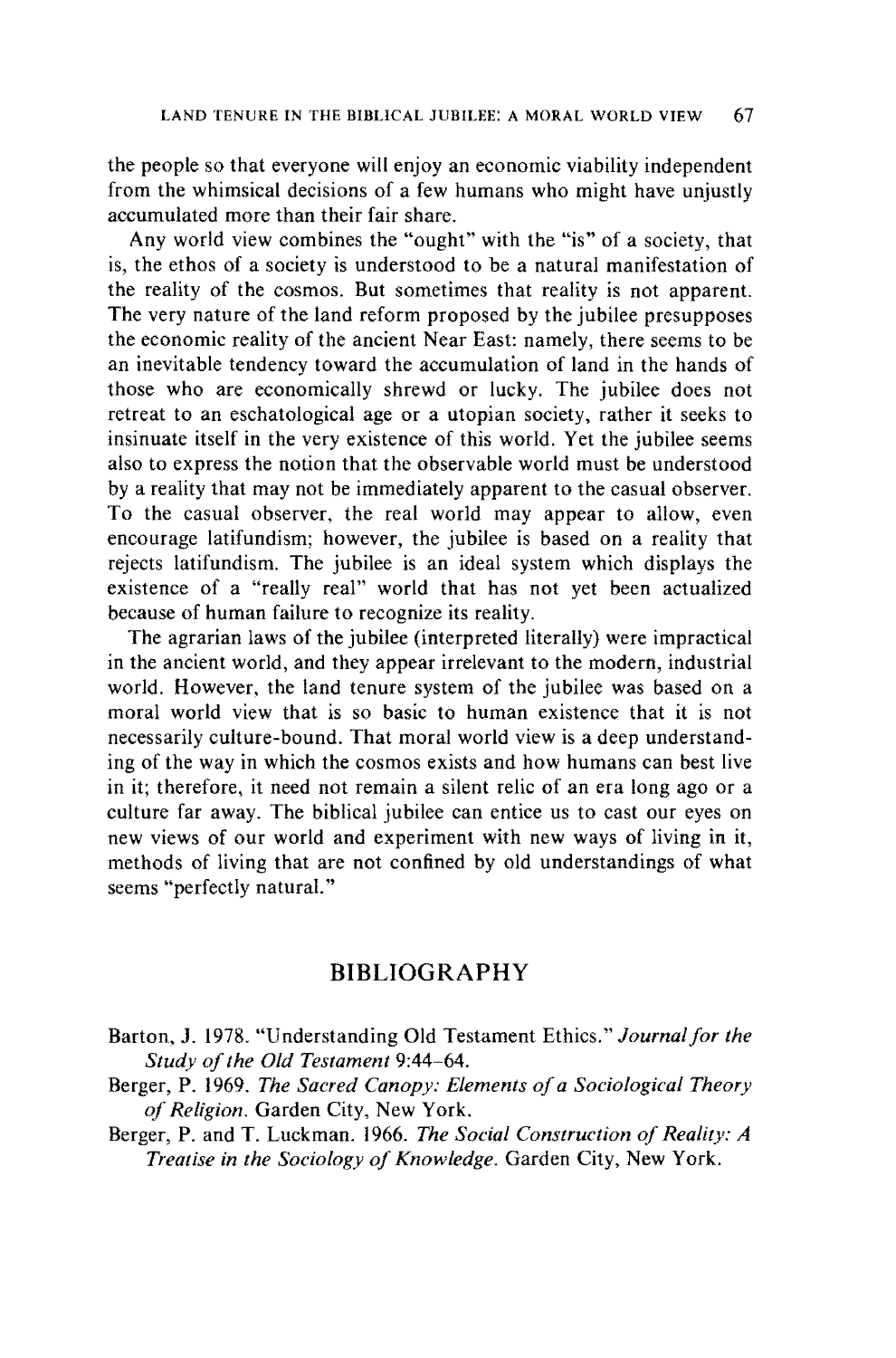the people so that everyone will enjoy an economic viability independent from the whimsical decisions of a few humans who might have unjustly accumulated more than their fair share.

Any world view combines the "ought" with the "is" of a society, that is, the ethos of a society is understood to be a natural manifestation of the reality of the cosmos. But sometimes that reality is not apparent. The very nature of the land reform proposed by the jubilee presupposes the economic reality of the ancient Near East: namely, there seems to be an inevitable tendency toward the accumulation of land in the hands of those who are economically shrewd or lucky. The jubilee does not retreat to an eschatological age or a utopian society, rather it seeks to insinuate itself in the very existence of this world. Yet the jubilee seems also to express the notion that the observable world must be understood by a reality that may not be immediately apparent to the casual observer. To the casual observer, the real world may appear to allow, even encourage latifundism; however, the jubilee is based on a reality that rejects latifundism. The jubilee is an ideal system which displays the existence of a "really real" world that has not yet been actualized because of human failure to recognize its reality.

The agrarian laws of the jubilee (interpreted literally) were impractical in the ancient world, and they appear irrelevant to the modern, industrial world. However, the land tenure system of the jubilee was based on a moral world view that is so basic to human existence that it is not necessarily culture-bound. That moral world view is a deep understanding of the way in which the cosmos exists and how humans can best live in it; therefore, it need not remain a silent relic of an era long ago or a culture far away. The biblical jubilee can entice us to cast our eyes on new views of our world and experiment with new ways of living in it, methods of living that are not confined by old understandings of what seems "perfectly natural."

## **BIBLIOGRAPHY**

- Barton, J. 1978. "Understanding Old Testament Ethics." *Journal for the Study of the Old Testament* 9:44-64.
- Berger, P. 1969. *The Sacred Canopy: Elements of a Sociological Theory of Religion.* Garden City, New York.
- Berger, P. and T. Luckman. 1966. *The Social Construction of Reality: A Treatise in the Sociology of Knowledge.* Garden City, New York.